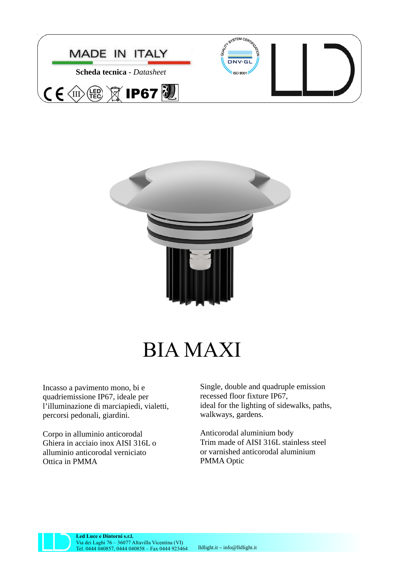



## BIA MAXI

Incasso a pavimento mono, bi e quadriemissione IP67, ideale per l'illuminazione di marciapiedi, vialetti, percorsi pedonali, giardini.

Corpo in alluminio anticorodal Ghiera in acciaio inox AISI 316L o alluminio anticorodal verniciato Ottica in PMMA

Single, double and quadruple emission recessed floor fixture IP67, ideal for the lighting of sidewalks, paths, walkways, gardens.

Anticorodal aluminium body Trim made of AISI 316L stainless steel or varnished anticorodal aluminium PMMA Optic



**Led Luce e Dintorni s.r.l.** Via dei Laghi 76 – 36077 Altavilla Vicentina (VI) Tel. 0444 040857, 0444 040858 – Fax 0444 923464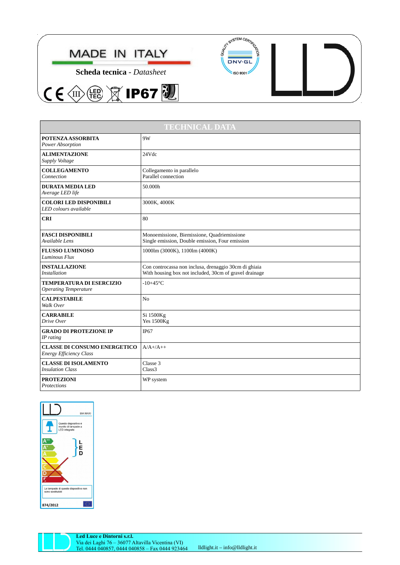





|  | ┙<br>$\overline{1}$ |  |
|--|---------------------|--|
|  |                     |  |

| <b>TECHNICAL DATA</b>                                                 |                                                                                                                 |  |  |
|-----------------------------------------------------------------------|-----------------------------------------------------------------------------------------------------------------|--|--|
| <b>POTENZA ASSORBITA</b><br>Power Absorption                          | 9W                                                                                                              |  |  |
| <b>ALIMENTAZIONE</b><br>Supply Voltage                                | 24V <sub>dc</sub>                                                                                               |  |  |
| <b>COLLEGAMENTO</b><br>Connection                                     | Collegamento in parallelo<br>Parallel connection                                                                |  |  |
| <b>DURATA MEDIA LED</b><br>Average LED life                           | 50.000h                                                                                                         |  |  |
| <b>COLORI LED DISPONIBILI</b><br>LED colours available                | 3000K, 4000K                                                                                                    |  |  |
| <b>CRI</b>                                                            | 80                                                                                                              |  |  |
| <b>FASCI DISPONIBILI</b><br>Available Lens                            | Monoemissione, Biemissione, Quadriemissione<br>Single emission, Double emission, Four emission                  |  |  |
| <b>FLUSSO LUMINOSO</b><br>Luminous Flux                               | 1000lm (3000K), 1100lm (4000K)                                                                                  |  |  |
| <b>INSTALLAZIONE</b><br><b>Installation</b>                           | Con controcassa non inclusa, drenaggio 30cm di ghiaia<br>With housing box not included, 30cm of gravel drainage |  |  |
| <b>TEMPERATURA DI ESERCIZIO</b><br><b>Operating Temperature</b>       | $-10+45$ °C                                                                                                     |  |  |
| <b>CALPESTABILE</b><br>Walk Over                                      | N <sub>0</sub>                                                                                                  |  |  |
| <b>CARRABILE</b><br>Drive Over                                        | Si 1500Kg<br><b>Yes 1500Kg</b>                                                                                  |  |  |
| <b>GRADO DI PROTEZIONE IP</b><br>IP rating                            | <b>IP67</b>                                                                                                     |  |  |
| <b>CLASSE DI CONSUMO ENERGETICO</b><br><b>Energy Efficiency Class</b> | $A/A$ +/A++                                                                                                     |  |  |
| <b>CLASSE DI ISOLAMENTO</b><br><b>Insulation Class</b>                | Classe 3<br>Class <sub>3</sub>                                                                                  |  |  |
| <b>PROTEZIONI</b><br>Protections                                      | WP system                                                                                                       |  |  |